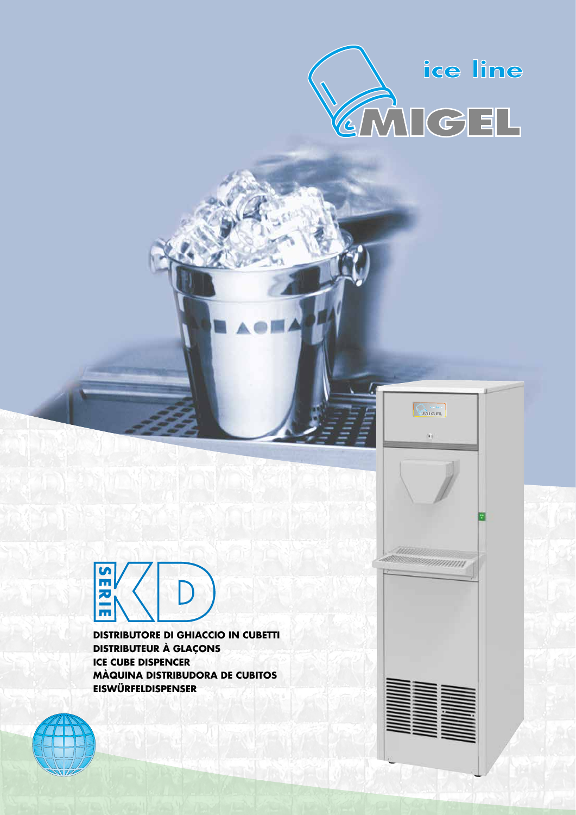



**DISTRIBUTORE DI GHIACCIO IN CUBETTI DISTRIBUTEUR À GLAÇONS ICE CUBE DISPENCER MÀQUINA DISTRIBUDORA DE CUBITOS EISWÜRFELDISPENSER** 



mmmm

**CANGEL** 

(a)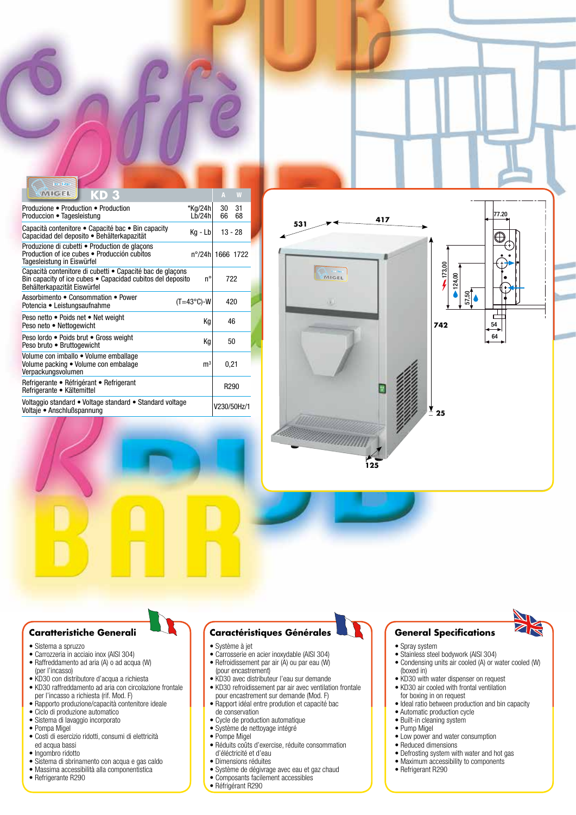| MRC E<br>KD 3                                                                                                                                          |                     | A                | W   |
|--------------------------------------------------------------------------------------------------------------------------------------------------------|---------------------|------------------|-----|
| Produzione ● Production ● Production                                                                                                                   | *Kg/24h             | 30               | 31  |
| Produccion • Tagesleistung                                                                                                                             | Lb/24h              | 66               | 68  |
| Capacità contenitore • Capacité bac • Bin capacity<br>Capacidad del deposito · Behälterkapazität                                                       | $Kg - Lb$           | $13 - 28$        |     |
| Produzione di cubetti • Production de glacons<br>Production of ice cubes ● Producción cubitos<br>Tagesleistung in Eiswürfel                            | n°/24h  1666 1722   |                  |     |
| Capacità contenitore di cubetti • Capacité bac de glacons<br>Bin capacity of ice cubes • Capacidad cubitos del deposito<br>Behälterkapazität Eiswürfel | n°                  |                  | 722 |
| Assorbimento • Consommation • Power<br>Potencia • Leistungsaufnahme                                                                                    | $(T=43^{\circ}C)-W$ | 420              |     |
| Peso netto • Poids net • Net weight<br>Peso neto • Nettogewicht                                                                                        | Кq                  | 46               |     |
| Peso lordo • Poids brut • Gross weight<br>Peso bruto . Bruttogewicht                                                                                   | Кq                  | 50               |     |
| Volume con imballo · Volume emballage<br>Volume packing • Volume con embalage<br>Verpackungsvolumen                                                    | m <sup>3</sup>      | 0,21             |     |
| Refrigerante • Réfrigérant • Refrigerant<br>Refrigerante • Kältemittel                                                                                 |                     | R <sub>290</sub> |     |
| Voltaggio standard • Voltage standard • Standard voltage<br>Voltaje • Anschlußspannung                                                                 |                     | V230/50Hz/1      |     |



## **Caratteristiche Generali**

- Sistema a spruzzo
- Carrozzeria in acciaio inox (AISI 304)
- Raffreddamento ad aria (A) o ad acqua (W) (per l'incasso)
- KD30 con distributore d'acqua a richiesta
- KD30 raffreddamento ad aria con circolazione frontale per l'incasso a richiesta (rif. Mod. F)
- Rapporto produzione/capacità contenitore ideale • Ciclo di produzione automatico
- Sistema di lavaggio incorporato
- Pompa Migel
- Costi di esercizio ridotti, consumi di elettricità ed acqua bassi
- Ingombro ridotto
- Sistema di sbrinamento con acqua e gas caldo • Massima accessibilità alla componentistica
- 
- Refrigerante R290

## **Caractéristiques Générales**

- Système à jet
- Carrosserie en acier inoxydable (AISI 304)
- Refroidissement par air (A) ou par eau (W)
- (pour encastrement)
- KD30 avec distributeur l'eau sur demande
- KD30 refroidissement par air avec ventilation frontale pour encastrement sur demande (Mod. F)
- Rapport idéal entre prodution et capacité bac de conservation
- Cycle de production automatique
- Système de nettoyage intégré
- Pompe Migel
- Réduits coûts d'exercise, réduite consommation d'éléctricité et d'eau
- Dimensions réduites
- Système de dégivrage avec eau et gaz chaud • Composants facilement accessibles
- 
- Réfrigérant R290

## **General Specifications**

- Spray system
- Stainless steel bodywork (AISI 304)
- Condensing units air cooled (A) or water cooled (W) (boxed in)
- KD30 with water dispenser on request
- KD30 air cooled with frontal ventilation for boxing in on request
- Ideal ratio between production and bin capacity
- Automatic production cycle
- Built-in cleaning system
- Pump Migel
- Low power and water consumption
- Reduced dimensions
- Defrosting system with water and hot gas
- Maximum accessibility to components
- Refrigerant R290

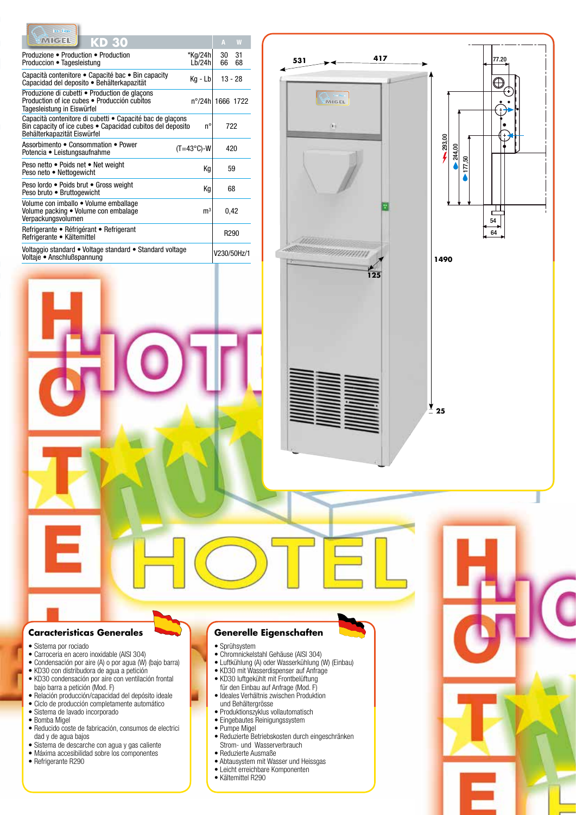| ice line                                                                                                                                               |                                |                  |          |
|--------------------------------------------------------------------------------------------------------------------------------------------------------|--------------------------------|------------------|----------|
| <b>KANGEL</b><br>KD 30                                                                                                                                 |                                | A                | W        |
| Produzione ● Production ● Production<br>Produccion • Tagesleistung                                                                                     | *Kg/24h<br>1 <sub>b</sub> /24h | 30<br>66         | 31<br>68 |
| Capacità contenitore • Capacité bac • Bin capacity<br>Capacidad del deposito • Behälterkapazität                                                       | Kg - Lb                        | $13 - 28$        |          |
| Produzione di cubetti ● Production de glacons<br>Production of ice cubes • Producción cubitos<br>Tagesleistung in Eiswürfel                            | n°/24h 1666 1722               |                  |          |
| Capacità contenitore di cubetti · Capacité bac de glaçons<br>Bin capacity of ice cubes • Capacidad cubitos del deposito<br>Behälterkapazität Eiswürfel | n°                             |                  | 722      |
| Assorbimento . Consommation . Power<br>Potencia • Leistungsaufnahme                                                                                    | $(T=43^{\circ}C)-W$            |                  | 420      |
| Peso netto • Poids net • Net weight<br>Peso neto . Nettogewicht                                                                                        | Кg                             | 59               |          |
| Peso lordo · Poids brut · Gross weight<br>Peso bruto • Bruttogewicht                                                                                   | Кg                             | 68               |          |
| Volume con imballo · Volume emballage<br>Volume packing . Volume con embalage<br>Verpackungsvolumen                                                    | m <sup>3</sup>                 | 0,42             |          |
| Refrigerante • Réfrigérant • Refrigerant<br>Refrigerante • Kältemittel                                                                                 |                                | R <sub>290</sub> |          |
| Voltaggio standard • Voltage standard • Standard voltage<br>Voltaje • Anschlußspannung                                                                 |                                | V230/50Hz/1      |          |
|                                                                                                                                                        |                                |                  |          |



## **Caracteristicas Generales**

- Sistema por rociado
- Carroceria en acero inoxidable (AISI 304)
- Condensación por aire (A) o por agua (W) (bajo barra) • KD30 con distribudora de agua a petición
- KD30 condensación por aire con ventilación frontal
- bajo barra a petición (Mod. F)
- Relación producción/capacidad del depósito ideale • Ciclo de producción completamente automático
- Sistema de lavado incorporado
- Bomba Migel
- 
- Reducido coste de fabricación, consumos de electrici dad y de agua bajos
- Sistema de descarche con agua y gas caliente • Máxima accesibilidad sobre los componentes
- 
- Refrigerante R290

# **Generelle Eigenschaften**

• Sprühsystem

- Chromnickelstahl Gehäuse (AISI 304)
- Luftkühlung (A) oder Wasserkühlung (W) (Einbau)
- KD30 mit Wasserdispenser auf Anfrage
- KD30 luftgekühlt mit Frontbelüftung
- für den Einbau auf Anfrage (Mod. F)
- Ideales Verhältnis zwischen Produktion
- und Behältergrösse
- Produktionszyklus vollautomatisch
- Eingebautes Reinigungssystem • Pumpe Migel
- 
- Reduzierte Betriebskosten durch eingeschränken Strom- und Wasserverbrauch
- Reduzierte Ausmaße
- Abtausystem mit Wasser und Heissgas • Leicht erreichbare Komponenten
- Kältemittel R290